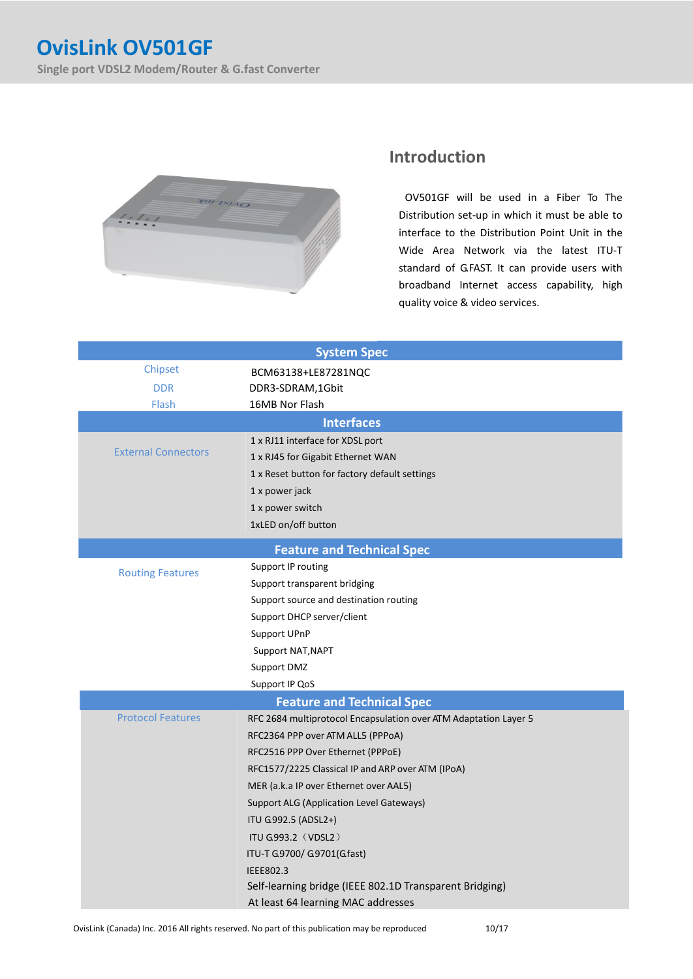

## **Introduction**

OV501GF will be used in a Fiber To The Distribution set-up in which it must be able to interface to the Distribution Point Unit in the Wide Area Network via the latest ITU-T standard of G.FAST. It can provide users with broadband Internet access capability, high quality voice & video services.

| <b>System Spec</b>                |                                                                  |  |
|-----------------------------------|------------------------------------------------------------------|--|
| Chipset                           | BCM63138+LE87281NQC                                              |  |
| <b>DDR</b>                        | DDR3-SDRAM,1Gbit                                                 |  |
| Flash                             | 16MB Nor Flash                                                   |  |
| <b>Interfaces</b>                 |                                                                  |  |
| <b>External Connectors</b>        | 1 x RJ11 interface for XDSL port                                 |  |
|                                   | 1 x RJ45 for Gigabit Ethernet WAN                                |  |
|                                   | 1 x Reset button for factory default settings                    |  |
|                                   | 1 x power jack                                                   |  |
|                                   | 1 x power switch                                                 |  |
|                                   | 1xLED on/off button                                              |  |
| <b>Feature and Technical Spec</b> |                                                                  |  |
| <b>Routing Features</b>           | Support IP routing                                               |  |
|                                   | Support transparent bridging                                     |  |
|                                   | Support source and destination routing                           |  |
|                                   | Support DHCP server/client                                       |  |
|                                   | Support UPnP                                                     |  |
|                                   | Support NAT, NAPT                                                |  |
|                                   | Support DMZ                                                      |  |
|                                   | Support IP QoS                                                   |  |
| <b>Feature and Technical Spec</b> |                                                                  |  |
| <b>Protocol Features</b>          | RFC 2684 multiprotocol Encapsulation over ATM Adaptation Layer 5 |  |
|                                   | RFC2364 PPP over ATM ALL5 (PPPoA)                                |  |
|                                   | RFC2516 PPP Over Ethernet (PPPoE)                                |  |
|                                   | RFC1577/2225 Classical IP and ARP over ATM (IPoA)                |  |
|                                   | MER (a.k.a IP over Ethernet over AAL5)                           |  |
|                                   | <b>Support ALG (Application Level Gateways)</b>                  |  |
|                                   | ITU G992.5 (ADSL2+)                                              |  |
|                                   | <b>ITU G993.2 (VDSL2)</b>                                        |  |
|                                   | ITU-T G9700/ G9701(Gfast)                                        |  |
|                                   | <b>IEEE802.3</b>                                                 |  |
|                                   | Self-learning bridge (IEEE 802.1D Transparent Bridging)          |  |
|                                   | At least 64 learning MAC addresses                               |  |